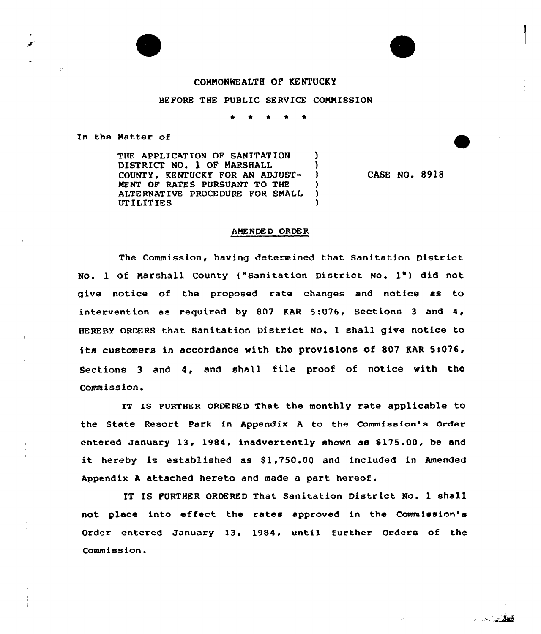## COMMONWEALTH OF KENTUCKY

## BEFORE THE PUBLIC SERVICE COMMISSION

\* \* <sup>4</sup> \* \*

In the Matter of

THE APPLICATION OF SANITATION ) DISTRICT NO. 1 OF MARSHALL (2001)<br>COUNTY, KENTUCKY FOR AN ADJUST-COUNTY, KENTUCKY FOR AN ADJUST-MENT OF RATES PURSUANT TO THE ) ALTE RNATIVE PROCE DURE FOR SMALL ) UT ILITIES )

CASE NO. 8918

<u> a stalin</u>

 $20 - 40$ 

 $\blacksquare$ 

## AMENDED ORDER

The Commission, having determined that Sanitation District No. 1 of Marshall County {"Sanitation District No. 1") did not give notice of the proposed rate changes and notice as to intervention as required by 807 KAR 5:076, Sections 3 and 4, HEREBY ORDERS that Sanitation District No. <sup>1</sup> shall give notice to its customers in accordance with the provisions of 807 KAR 5:076, Sections <sup>3</sup> and 4, and shall file proof of notice with the Commission.

IT IS FURTHER ORDERED That the monthly rate applicable to the State Resort Park in Appendix <sup>A</sup> to the Commission's Order entered January 13, 1984, inadvertently shown as \$175.00, be and it hereby is established as \$1,750.00 and included in Amended Appendix <sup>A</sup> attached hereto and made a part hereof.

IT IS FURTHER ORDERED That Sanitation District No. <sup>1</sup> shall not place into effeet the rates approved in the Commission' Order entered January 13, 1984, until further Orders of the Commission.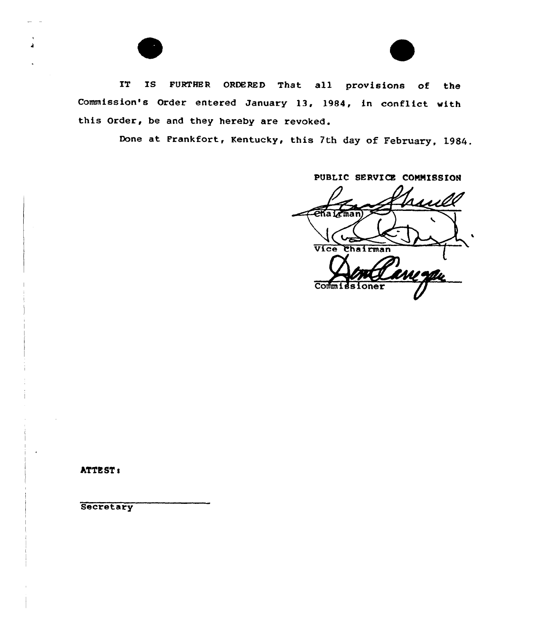

Done at Frankfort, Kentucky, this 7th day of February, 1984.

PUBLIC SERVICE COMMISSION

UV Vice Chairman Commie

ATTEST:

**Secretary**